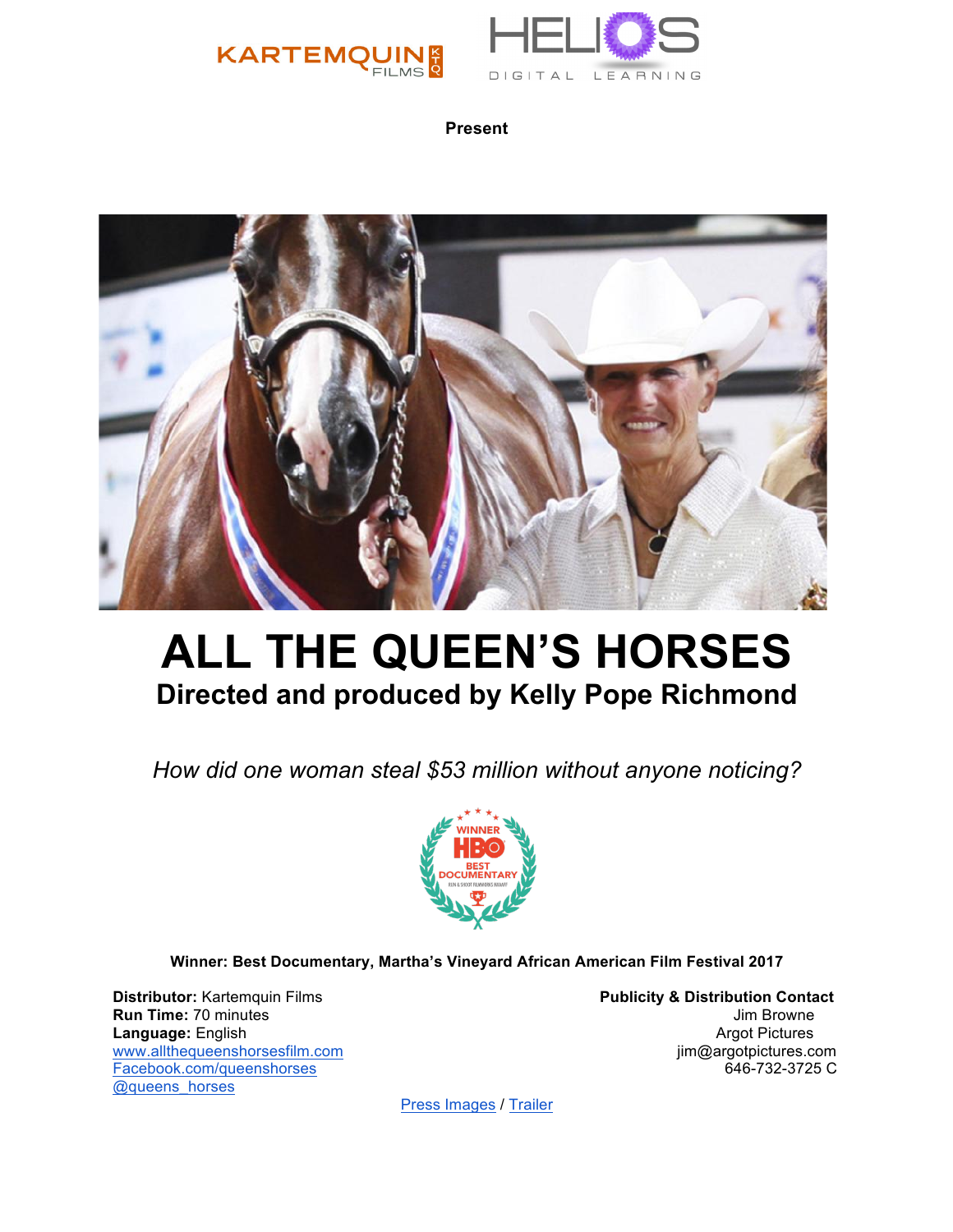



**Present**



# **ALL THE QUEEN'S HORSES Directed and produced by Kelly Pope Richmond**

*How did one woman steal \$53 million without anyone noticing?* 



**Winner: Best Documentary, Martha's Vineyard African American Film Festival 2017**

**Distributor:** Kartemquin Films **Publicity & Distribution Contact Run Time:** 70 minutes **Jum Browne** Jim Browne **Language:** English **Argot Pictures** Argot Pictures **Argot Pictures** Argot Pictures **Argot Pictures** www.allthequeenshorsesfilm.com in the set of the set of the set of the set of the set of the set of the set of the set of the set of the set of the set of the set of the set of the set of the set of the set of the set of t Facebook.com/queenshorses @queens\_horses

[Press Images](https://drive.google.com/drive/folders/0BxIJ5yaisU5Bb1Zlck5ZQ2ZGbUE) [/ Trailer](https://vimeo.com/225296132)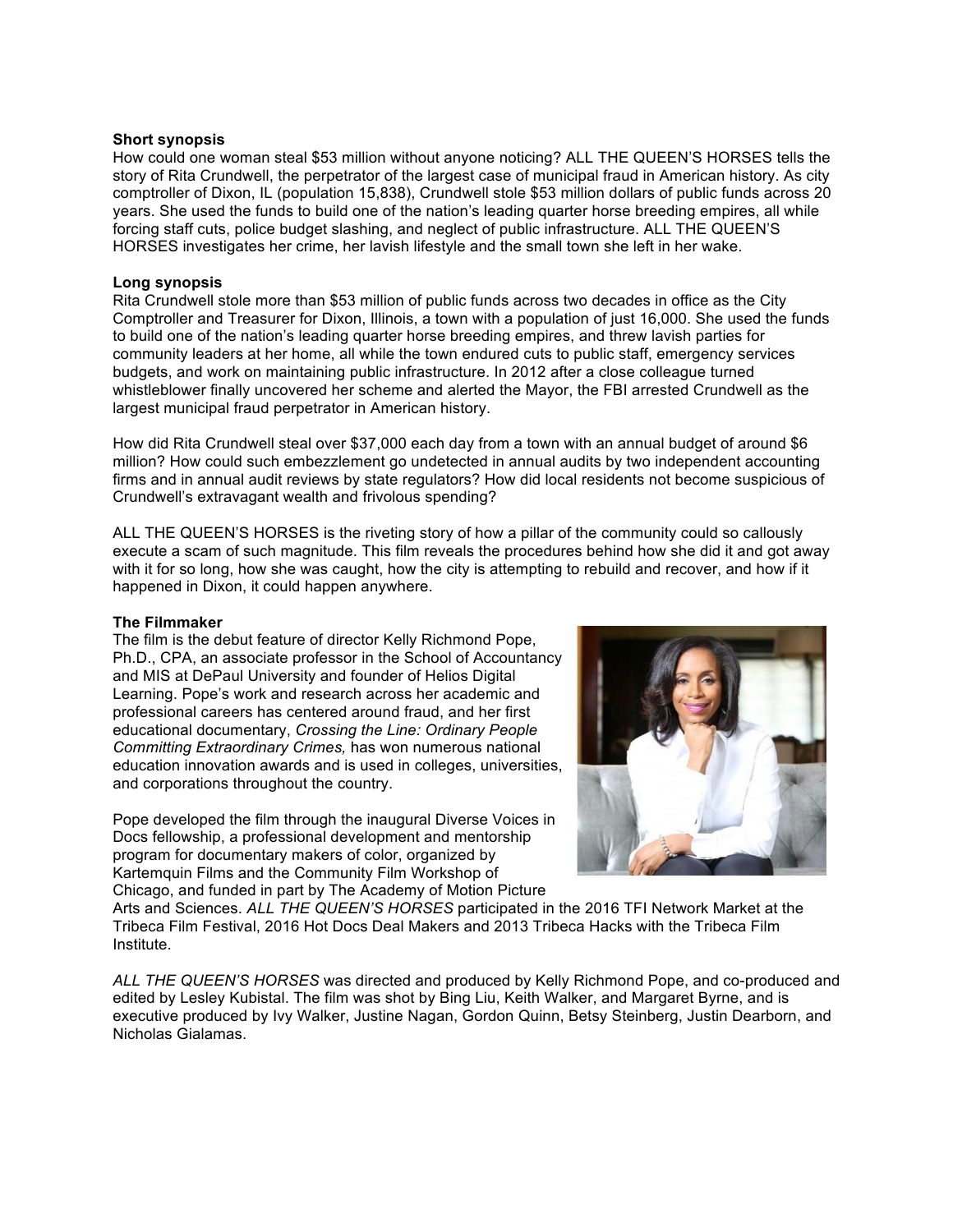# **Short synopsis**

How could one woman steal \$53 million without anyone noticing? ALL THE QUEEN'S HORSES tells the story of Rita Crundwell, the perpetrator of the largest case of municipal fraud in American history. As city comptroller of Dixon, IL (population 15,838), Crundwell stole \$53 million dollars of public funds across 20 years. She used the funds to build one of the nation's leading quarter horse breeding empires, all while forcing staff cuts, police budget slashing, and neglect of public infrastructure. ALL THE QUEEN'S HORSES investigates her crime, her lavish lifestyle and the small town she left in her wake.

### **Long synopsis**

Rita Crundwell stole more than \$53 million of public funds across two decades in office as the City Comptroller and Treasurer for Dixon, Illinois, a town with a population of just 16,000. She used the funds to build one of the nation's leading quarter horse breeding empires, and threw lavish parties for community leaders at her home, all while the town endured cuts to public staff, emergency services budgets, and work on maintaining public infrastructure. In 2012 after a close colleague turned whistleblower finally uncovered her scheme and alerted the Mayor, the FBI arrested Crundwell as the largest municipal fraud perpetrator in American history.

How did Rita Crundwell steal over \$37,000 each day from a town with an annual budget of around \$6 million? How could such embezzlement go undetected in annual audits by two independent accounting firms and in annual audit reviews by state regulators? How did local residents not become suspicious of Crundwell's extravagant wealth and frivolous spending?

ALL THE QUEEN'S HORSES is the riveting story of how a pillar of the community could so callously execute a scam of such magnitude. This film reveals the procedures behind how she did it and got away with it for so long, how she was caught, how the city is attempting to rebuild and recover, and how if it happened in Dixon, it could happen anywhere.

#### **The Filmmaker**

The film is the debut feature of director Kelly Richmond Pope, Ph.D., CPA, an associate professor in the School of Accountancy and MIS at DePaul University and founder of Helios Digital Learning. Pope's work and research across her academic and professional careers has centered around fraud, and her first educational documentary, *Crossing the Line: Ordinary People Committing Extraordinary Crimes,* has won numerous national education innovation awards and is used in colleges, universities, and corporations throughout the country.

Pope developed the film through the inaugural Diverse Voices in Docs fellowship, a professional development and mentorship program for documentary makers of color, organized by Kartemquin Films and the Community Film Workshop of Chicago, and funded in part by The Academy of Motion Picture



Arts and Sciences. *ALL THE QUEEN'S HORSES* participated in the 2016 TFI Network Market at the Tribeca Film Festival, 2016 Hot Docs Deal Makers and 2013 Tribeca Hacks with the Tribeca Film Institute.

*ALL THE QUEEN'S HORSES* was directed and produced by Kelly Richmond Pope, and co-produced and edited by Lesley Kubistal. The film was shot by Bing Liu, Keith Walker, and Margaret Byrne, and is executive produced by Ivy Walker, Justine Nagan, Gordon Quinn, Betsy Steinberg, Justin Dearborn, and Nicholas Gialamas.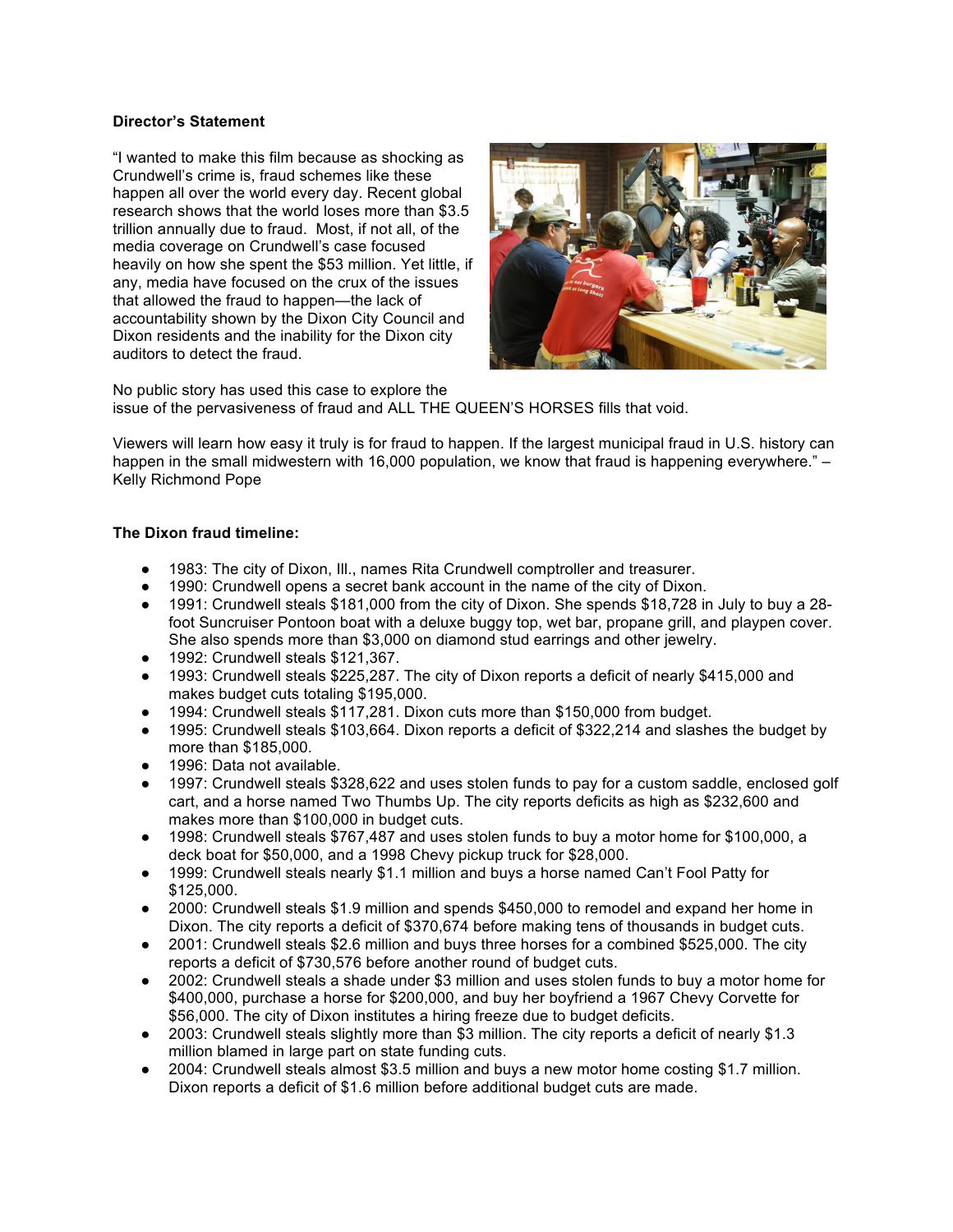# **Director's Statement**

"I wanted to make this film because as shocking as Crundwell's crime is, fraud schemes like these happen all over the world every day. Recent global research shows that the world loses more than \$3.5 trillion annually due to fraud. Most, if not all, of the media coverage on Crundwell's case focused heavily on how she spent the \$53 million. Yet little, if any, media have focused on the crux of the issues that allowed the fraud to happen—the lack of accountability shown by the Dixon City Council and Dixon residents and the inability for the Dixon city auditors to detect the fraud.



No public story has used this case to explore the issue of the pervasiveness of fraud and ALL THE QUEEN'S HORSES fills that void.

Viewers will learn how easy it truly is for fraud to happen. If the largest municipal fraud in U.S. history can happen in the small midwestern with 16,000 population, we know that fraud is happening everywhere." – Kelly Richmond Pope

# **The Dixon fraud timeline:**

- 1983: The city of Dixon, Ill., names Rita Crundwell comptroller and treasurer.
- 1990: Crundwell opens a secret bank account in the name of the city of Dixon.
- 1991: Crundwell steals \$181,000 from the city of Dixon. She spends \$18,728 in July to buy a 28 foot Suncruiser Pontoon boat with a deluxe buggy top, wet bar, propane grill, and playpen cover. She also spends more than \$3,000 on diamond stud earrings and other jewelry.
- 1992: Crundwell steals \$121,367.
- 1993: Crundwell steals \$225,287. The city of Dixon reports a deficit of nearly \$415,000 and makes budget cuts totaling \$195,000.
- 1994: Crundwell steals \$117,281. Dixon cuts more than \$150,000 from budget.
- 1995: Crundwell steals \$103,664. Dixon reports a deficit of \$322,214 and slashes the budget by more than \$185,000.
- 1996: Data not available.
- 1997: Crundwell steals \$328,622 and uses stolen funds to pay for a custom saddle, enclosed golf cart, and a horse named Two Thumbs Up. The city reports deficits as high as \$232,600 and makes more than \$100,000 in budget cuts.
- 1998: Crundwell steals \$767,487 and uses stolen funds to buy a motor home for \$100,000, a deck boat for \$50,000, and a 1998 Chevy pickup truck for \$28,000.
- 1999: Crundwell steals nearly \$1.1 million and buys a horse named Can't Fool Patty for \$125,000.
- 2000: Crundwell steals \$1.9 million and spends \$450,000 to remodel and expand her home in Dixon. The city reports a deficit of \$370,674 before making tens of thousands in budget cuts.
- 2001: Crundwell steals \$2.6 million and buys three horses for a combined \$525,000. The city reports a deficit of \$730,576 before another round of budget cuts.
- 2002: Crundwell steals a shade under \$3 million and uses stolen funds to buy a motor home for \$400,000, purchase a horse for \$200,000, and buy her boyfriend a 1967 Chevy Corvette for \$56,000. The city of Dixon institutes a hiring freeze due to budget deficits.
- 2003: Crundwell steals slightly more than \$3 million. The city reports a deficit of nearly \$1.3 million blamed in large part on state funding cuts.
- 2004: Crundwell steals almost \$3.5 million and buys a new motor home costing \$1.7 million. Dixon reports a deficit of \$1.6 million before additional budget cuts are made.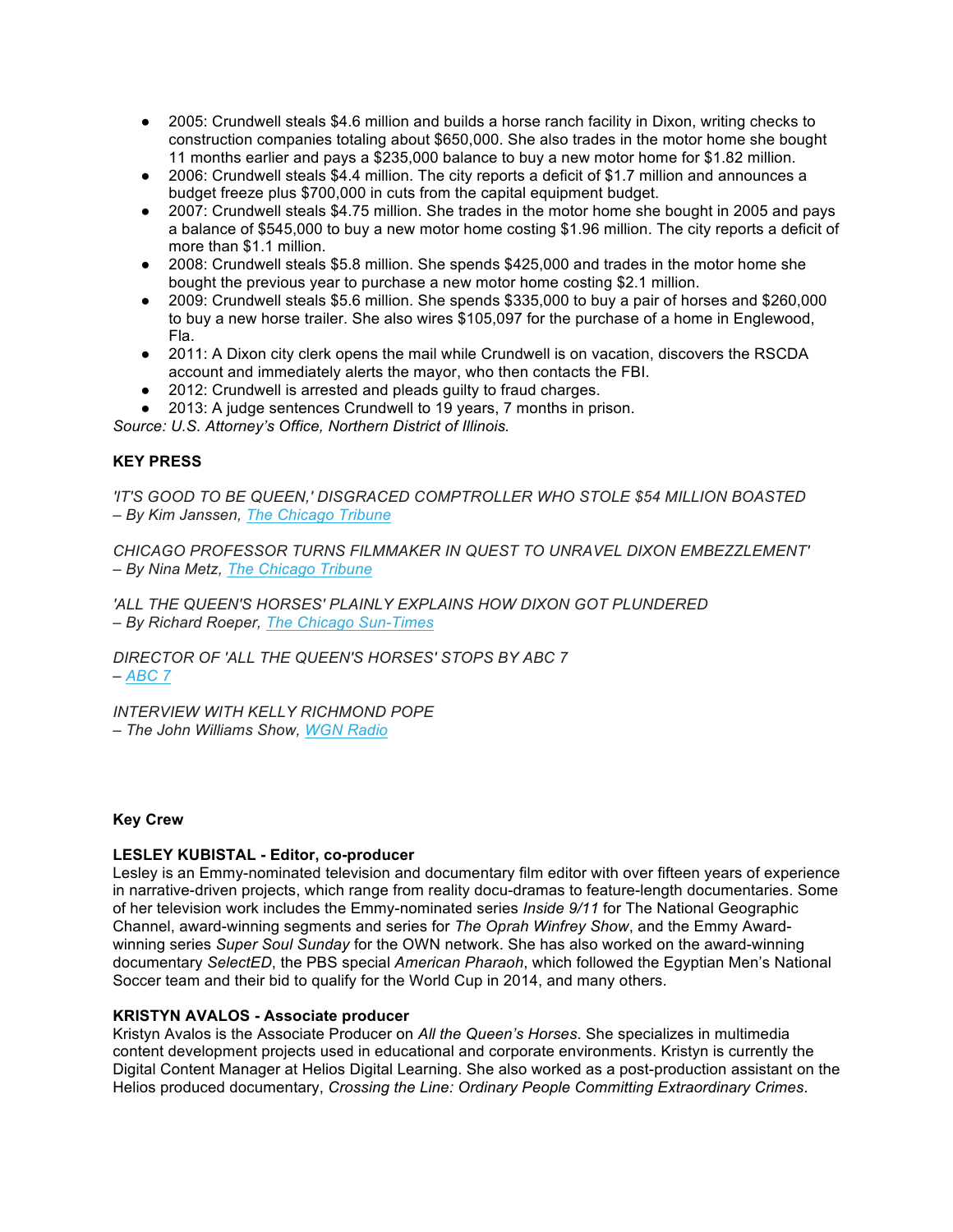- 2005: Crundwell steals \$4.6 million and builds a horse ranch facility in Dixon, writing checks to construction companies totaling about \$650,000. She also trades in the motor home she bought 11 months earlier and pays a \$235,000 balance to buy a new motor home for \$1.82 million.
- 2006: Crundwell steals \$4.4 million. The city reports a deficit of \$1.7 million and announces a budget freeze plus \$700,000 in cuts from the capital equipment budget.
- 2007: Crundwell steals \$4.75 million. She trades in the motor home she bought in 2005 and pays a balance of \$545,000 to buy a new motor home costing \$1.96 million. The city reports a deficit of more than \$1.1 million.
- 2008: Crundwell steals \$5.8 million. She spends \$425,000 and trades in the motor home she bought the previous year to purchase a new motor home costing \$2.1 million.
- 2009: Crundwell steals \$5.6 million. She spends \$335,000 to buy a pair of horses and \$260,000 to buy a new horse trailer. She also wires \$105,097 for the purchase of a home in Englewood, Fla.
- 2011: A Dixon city clerk opens the mail while Crundwell is on vacation, discovers the RSCDA account and immediately alerts the mayor, who then contacts the FBI.
- 2012: Crundwell is arrested and pleads quilty to fraud charges.
- 2013: A judge sentences Crundwell to 19 years, 7 months in prison.

*Source: U.S. Attorney's Office, Northern District of Illinois.*

# **KEY PRESS**

*'IT'S GOOD TO BE QUEEN,' DISGRACED COMPTROLLER WHO STOLE \$54 MILLION BOASTED – By Kim Janssen, The Chicago Tribune*

*CHICAGO PROFESSOR TURNS FILMMAKER IN QUEST TO UNRAVEL DIXON EMBEZZLEMENT' – By Nina Metz, The Chicago Tribune*

*'ALL THE QUEEN'S HORSES' PLAINLY EXPLAINS HOW DIXON GOT PLUNDERED – By Richard Roeper, The Chicago Sun-Times*

*DIRECTOR OF 'ALL THE QUEEN'S HORSES' STOPS BY ABC 7 – ABC 7*

*INTERVIEW WITH KELLY RICHMOND POPE – The John Williams Show, WGN Radio*

# **Key Crew**

# **LESLEY KUBISTAL - Editor, co-producer**

Lesley is an Emmy-nominated television and documentary film editor with over fifteen years of experience in narrative-driven projects, which range from reality docu-dramas to feature-length documentaries. Some of her television work includes the Emmy-nominated series *Inside 9/11* for The National Geographic Channel, award-winning segments and series for *The Oprah Winfrey Show*, and the Emmy Awardwinning series *Super Soul Sunday* for the OWN network. She has also worked on the award-winning documentary *SelectED*, the PBS special *American Pharaoh*, which followed the Egyptian Men's National Soccer team and their bid to qualify for the World Cup in 2014, and many others.

#### **KRISTYN AVALOS - Associate producer**

Kristyn Avalos is the Associate Producer on *All the Queen's Horses*. She specializes in multimedia content development projects used in educational and corporate environments. Kristyn is currently the Digital Content Manager at Helios Digital Learning. She also worked as a post-production assistant on the Helios produced documentary, *Crossing the Line: Ordinary People Committing Extraordinary Crimes*.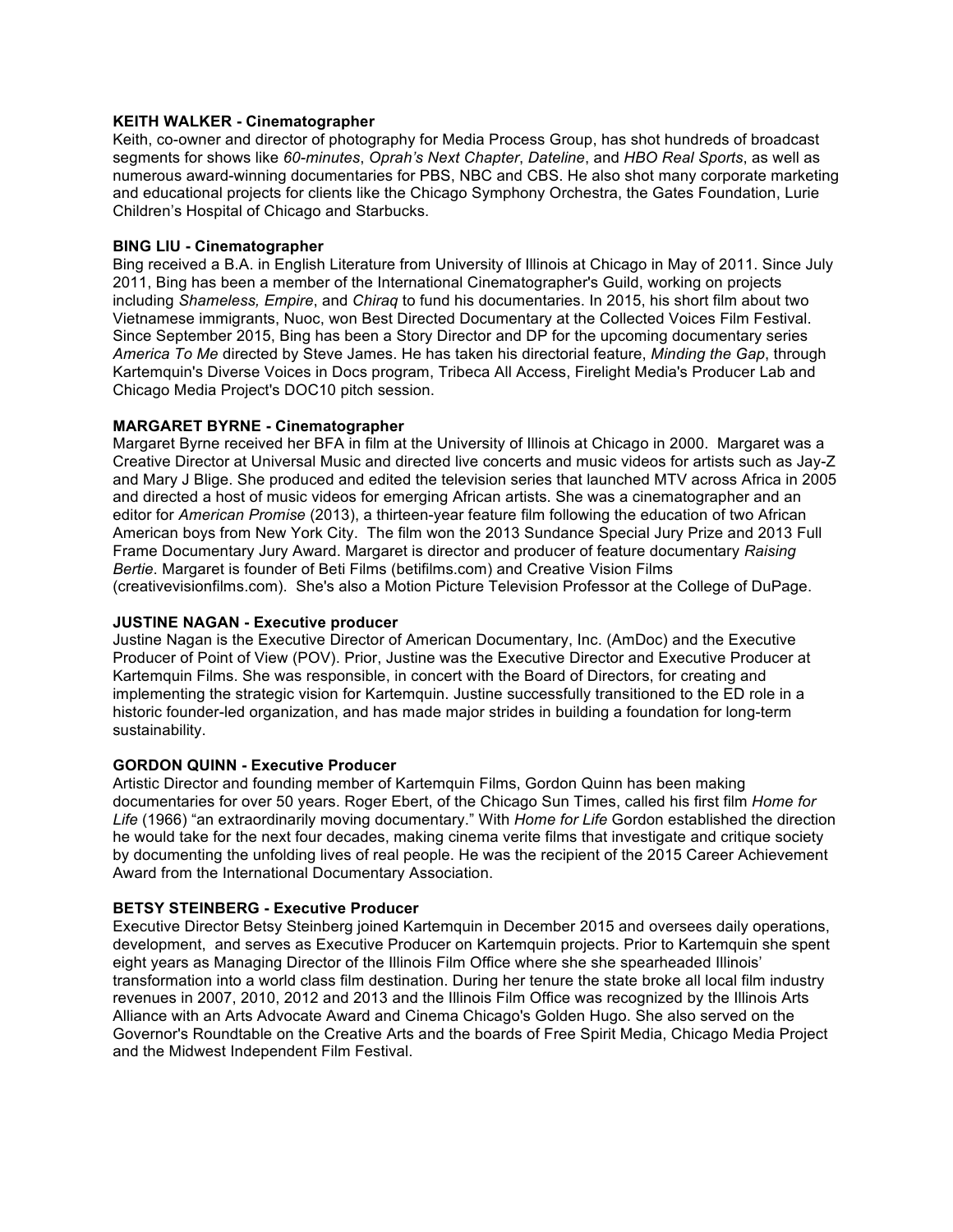# **KEITH WALKER - Cinematographer**

Keith, co-owner and director of photography for Media Process Group, has shot hundreds of broadcast segments for shows like *60-minutes*, *Oprah's Next Chapter*, *Dateline*, and *HBO Real Sports*, as well as numerous award-winning documentaries for PBS, NBC and CBS. He also shot many corporate marketing and educational projects for clients like the Chicago Symphony Orchestra, the Gates Foundation, Lurie Children's Hospital of Chicago and Starbucks.

#### **BING LIU - Cinematographer**

Bing received a B.A. in English Literature from University of Illinois at Chicago in May of 2011. Since July 2011, Bing has been a member of the International Cinematographer's Guild, working on projects including *Shameless, Empire*, and *Chiraq* to fund his documentaries. In 2015, his short film about two Vietnamese immigrants, Nuoc, won Best Directed Documentary at the Collected Voices Film Festival. Since September 2015, Bing has been a Story Director and DP for the upcoming documentary series *America To Me* directed by Steve James. He has taken his directorial feature, *Minding the Gap*, through Kartemquin's Diverse Voices in Docs program, Tribeca All Access, Firelight Media's Producer Lab and Chicago Media Project's DOC10 pitch session.

# **MARGARET BYRNE - Cinematographer**

Margaret Byrne received her BFA in film at the University of Illinois at Chicago in 2000. Margaret was a Creative Director at Universal Music and directed live concerts and music videos for artists such as Jay-Z and Mary J Blige. She produced and edited the television series that launched MTV across Africa in 2005 and directed a host of music videos for emerging African artists. She was a cinematographer and an editor for *American Promise* (2013), a thirteen-year feature film following the education of two African American boys from New York City. The film won the 2013 Sundance Special Jury Prize and 2013 Full Frame Documentary Jury Award. Margaret is director and producer of feature documentary *Raising Bertie*. Margaret is founder of Beti Films (betifilms.com) and Creative Vision Films (creativevisionfilms.com). She's also a Motion Picture Television Professor at the College of DuPage.

### **JUSTINE NAGAN - Executive producer**

Justine Nagan is the Executive Director of American Documentary, Inc. (AmDoc) and the Executive Producer of Point of View (POV). Prior, Justine was the Executive Director and Executive Producer at Kartemquin Films. She was responsible, in concert with the Board of Directors, for creating and implementing the strategic vision for Kartemquin. Justine successfully transitioned to the ED role in a historic founder-led organization, and has made major strides in building a foundation for long-term sustainability.

# **GORDON QUINN - Executive Producer**

Artistic Director and founding member of Kartemquin Films, Gordon Quinn has been making documentaries for over 50 years. Roger Ebert, of the Chicago Sun Times, called his first film *Home for Life* (1966) "an extraordinarily moving documentary." With *Home for Life* Gordon established the direction he would take for the next four decades, making cinema verite films that investigate and critique society by documenting the unfolding lives of real people. He was the recipient of the 2015 Career Achievement Award from the International Documentary Association.

# **BETSY STEINBERG - Executive Producer**

Executive Director Betsy Steinberg joined Kartemquin in December 2015 and oversees daily operations, development, and serves as Executive Producer on Kartemquin projects. Prior to Kartemquin she spent eight years as Managing Director of the Illinois Film Office where she she spearheaded Illinois' transformation into a world class film destination. During her tenure the state broke all local film industry revenues in 2007, 2010, 2012 and 2013 and the Illinois Film Office was recognized by the Illinois Arts Alliance with an Arts Advocate Award and Cinema Chicago's Golden Hugo. She also served on the Governor's Roundtable on the Creative Arts and the boards of Free Spirit Media, Chicago Media Project and the Midwest Independent Film Festival.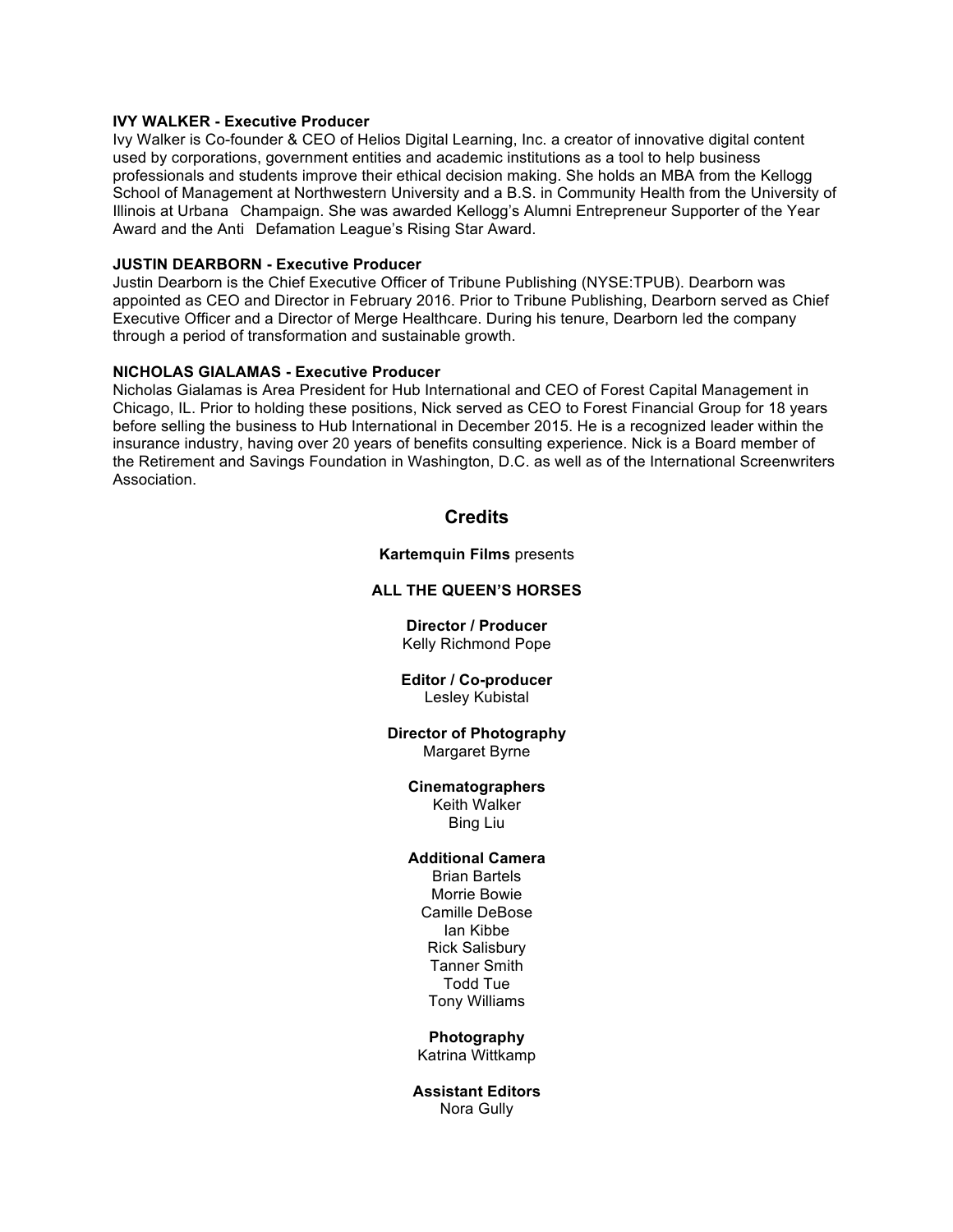# **IVY WALKER - Executive Producer**

Ivy Walker is Co-founder & CEO of Helios Digital Learning, Inc. a creator of innovative digital content used by corporations, government entities and academic institutions as a tool to help business professionals and students improve their ethical decision making. She holds an MBA from the Kellogg School of Management at Northwestern University and a B.S. in Community Health from the University of Illinois at Urbana Champaign. She was awarded Kellogg's Alumni Entrepreneur Supporter of the Year Award and the Anti Defamation League's Rising Star Award.

### **JUSTIN DEARBORN - Executive Producer**

Justin Dearborn is the Chief Executive Officer of Tribune Publishing (NYSE:TPUB). Dearborn was appointed as CEO and Director in February 2016. Prior to Tribune Publishing, Dearborn served as Chief Executive Officer and a Director of Merge Healthcare. During his tenure, Dearborn led the company through a period of transformation and sustainable growth.

#### **NICHOLAS GIALAMAS - Executive Producer**

Nicholas Gialamas is Area President for Hub International and CEO of Forest Capital Management in Chicago, IL. Prior to holding these positions, Nick served as CEO to Forest Financial Group for 18 years before selling the business to Hub International in December 2015. He is a recognized leader within the insurance industry, having over 20 years of benefits consulting experience. Nick is a Board member of the Retirement and Savings Foundation in Washington, D.C. as well as of the International Screenwriters Association.

# **Credits**

**Kartemquin Films** presents

# **ALL THE QUEEN'S HORSES**

**Director / Producer** Kelly Richmond Pope

#### **Editor / Co-producer** Lesley Kubistal

#### **Director of Photography** Margaret Byrne

#### **Cinematographers**

Keith Walker Bing Liu

# **Additional Camera**

Brian Bartels Morrie Bowie Camille DeBose Ian Kibbe Rick Salisbury Tanner Smith Todd Tue Tony Williams

#### **Photography**

Katrina Wittkamp

**Assistant Editors** Nora Gully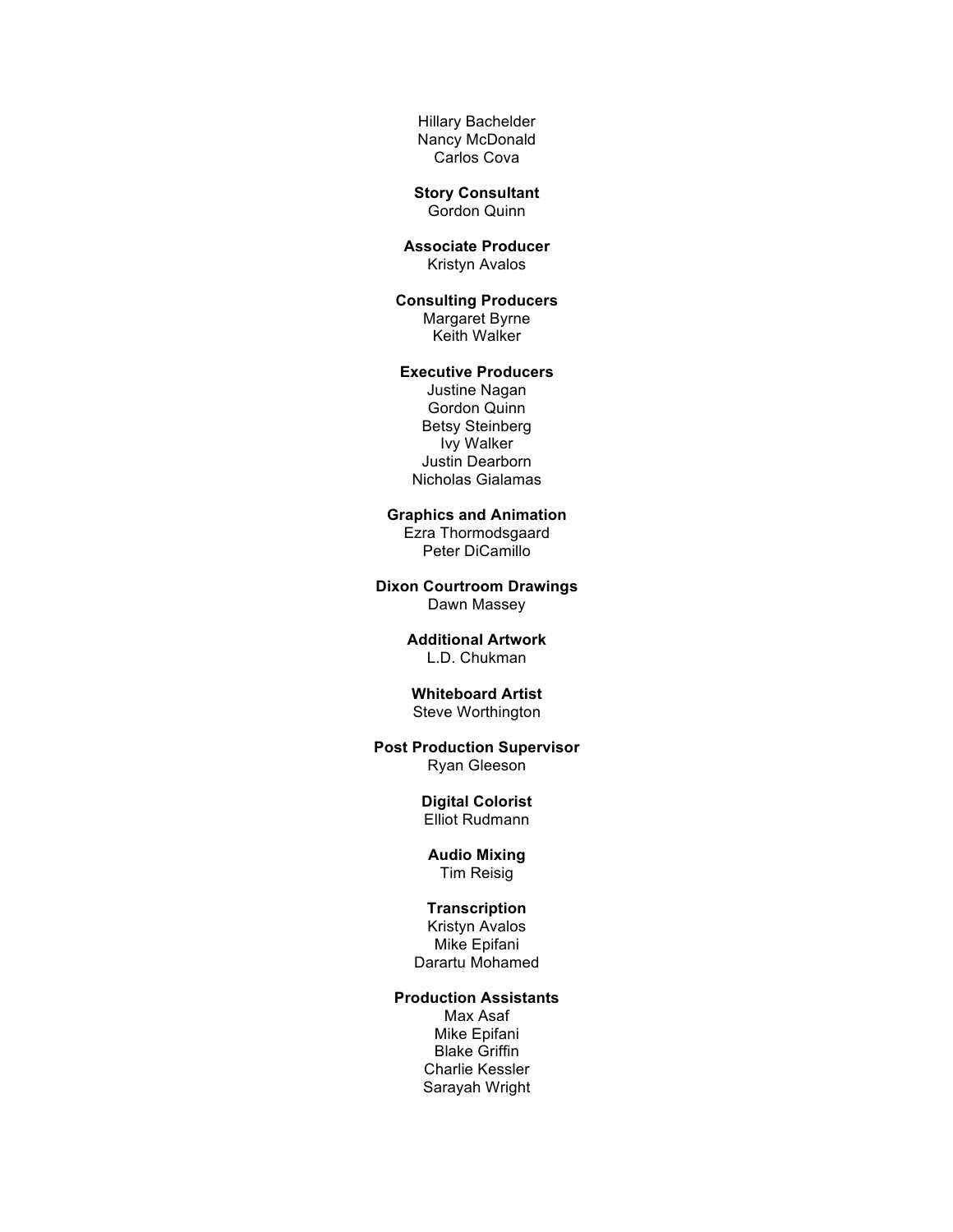Hillary Bachelder Nancy McDonald Carlos Cova

#### **Story Consultant** Gordon Quinn

**Associate Producer** Kristyn Avalos

**Consulting Producers** Margaret Byrne Keith Walker

# **Executive Producers**

Justine Nagan Gordon Quinn Betsy Steinberg Ivy Walker Justin Dearborn Nicholas Gialamas

**Graphics and Animation** Ezra Thormodsgaard

Peter DiCamillo

**Dixon Courtroom Drawings** Dawn Massey

#### **Additional Artwork**  L.D. Chukman

# **Whiteboard Artist** Steve Worthington

# **Post Production Supervisor**

Ryan Gleeson

#### **Digital Colorist** Elliot Rudmann

# **Audio Mixing**

Tim Reisig

# **Transcription**

Kristyn Avalos Mike Epifani Darartu Mohamed

#### **Production Assistants**

Max Asaf Mike Epifani Blake Griffin Charlie Kessler Sarayah Wright